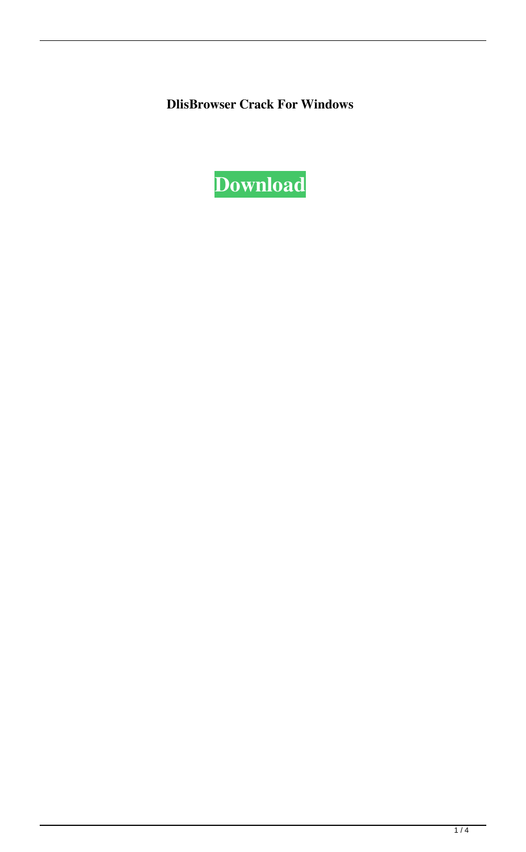**DlisBrowser Crack For Windows**

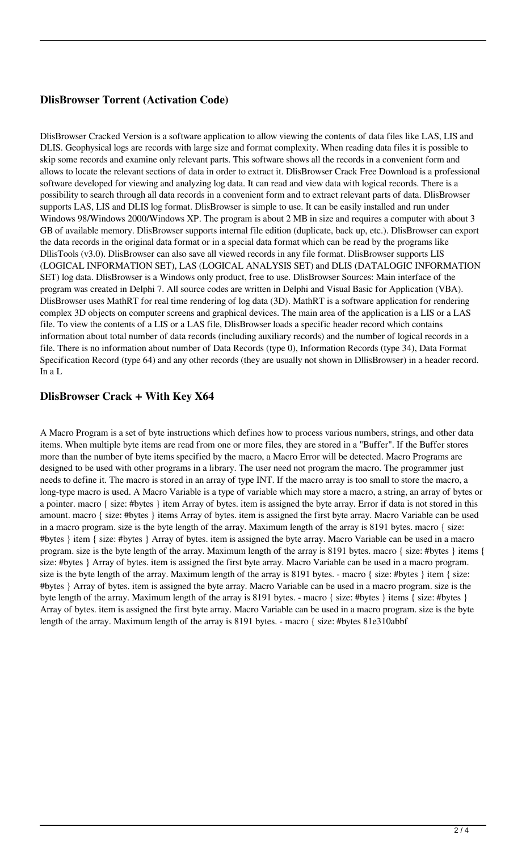## **DlisBrowser Torrent (Activation Code)**

DlisBrowser Cracked Version is a software application to allow viewing the contents of data files like LAS, LIS and DLIS. Geophysical logs are records with large size and format complexity. When reading data files it is possible to skip some records and examine only relevant parts. This software shows all the records in a convenient form and allows to locate the relevant sections of data in order to extract it. DlisBrowser Crack Free Download is a professional software developed for viewing and analyzing log data. It can read and view data with logical records. There is a possibility to search through all data records in a convenient form and to extract relevant parts of data. DlisBrowser supports LAS, LIS and DLIS log format. DlisBrowser is simple to use. It can be easily installed and run under Windows 98/Windows 2000/Windows XP. The program is about 2 MB in size and requires a computer with about 3 GB of available memory. DlisBrowser supports internal file edition (duplicate, back up, etc.). DlisBrowser can export the data records in the original data format or in a special data format which can be read by the programs like DllisTools (v3.0). DlisBrowser can also save all viewed records in any file format. DlisBrowser supports LIS (LOGICAL INFORMATION SET), LAS (LOGICAL ANALYSIS SET) and DLIS (DATALOGIC INFORMATION SET) log data. DlisBrowser is a Windows only product, free to use. DlisBrowser Sources: Main interface of the program was created in Delphi 7. All source codes are written in Delphi and Visual Basic for Application (VBA). DlisBrowser uses MathRT for real time rendering of log data (3D). MathRT is a software application for rendering complex 3D objects on computer screens and graphical devices. The main area of the application is a LIS or a LAS file. To view the contents of a LIS or a LAS file, DlisBrowser loads a specific header record which contains information about total number of data records (including auxiliary records) and the number of logical records in a file. There is no information about number of Data Records (type 0), Information Records (type 34), Data Format Specification Record (type 64) and any other records (they are usually not shown in DllisBrowser) in a header record. In a L

## **DlisBrowser Crack + With Key X64**

A Macro Program is a set of byte instructions which defines how to process various numbers, strings, and other data items. When multiple byte items are read from one or more files, they are stored in a "Buffer". If the Buffer stores more than the number of byte items specified by the macro, a Macro Error will be detected. Macro Programs are designed to be used with other programs in a library. The user need not program the macro. The programmer just needs to define it. The macro is stored in an array of type INT. If the macro array is too small to store the macro, a long-type macro is used. A Macro Variable is a type of variable which may store a macro, a string, an array of bytes or a pointer. macro { size: #bytes } item Array of bytes. item is assigned the byte array. Error if data is not stored in this amount. macro { size: #bytes } items Array of bytes. item is assigned the first byte array. Macro Variable can be used in a macro program. size is the byte length of the array. Maximum length of the array is 8191 bytes. macro { size: #bytes } item { size: #bytes } Array of bytes. item is assigned the byte array. Macro Variable can be used in a macro program. size is the byte length of the array. Maximum length of the array is 8191 bytes. macro { size: #bytes } items { size: #bytes } Array of bytes. item is assigned the first byte array. Macro Variable can be used in a macro program. size is the byte length of the array. Maximum length of the array is 8191 bytes. - macro { size: #bytes } item { size: #bytes } Array of bytes. item is assigned the byte array. Macro Variable can be used in a macro program. size is the byte length of the array. Maximum length of the array is 8191 bytes. - macro { size: #bytes } items { size: #bytes } Array of bytes. item is assigned the first byte array. Macro Variable can be used in a macro program. size is the byte length of the array. Maximum length of the array is 8191 bytes. - macro { size: #bytes 81e310abbf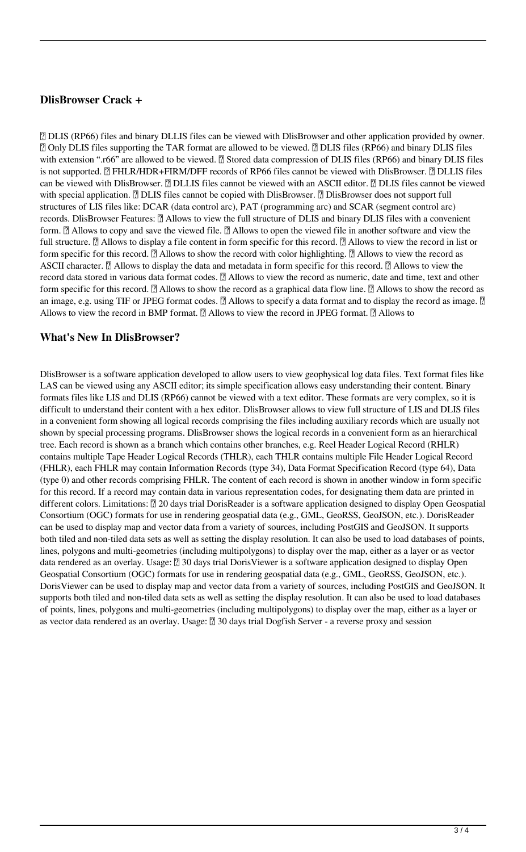### **DlisBrowser Crack +**

■ DLIS (RP66) files and binary DLLIS files can be viewed with DlisBrowser and other application provided by owner. ■ Only DLIS files supporting the TAR format are allowed to be viewed. ■ DLIS files (RP66) and binary DLIS files with extension ".r66" are allowed to be viewed. **a** Stored data compression of DLIS files (RP66) and binary DLIS files is not supported. **■ FHLR/HDR+FIRM/DFF** records of RP66 files cannot be viewed with DlisBrowser. ■ DLLIS files can be viewed with DlisBrowser. **■ DLLIS** files cannot be viewed with an ASCII editor. ■ DLIS files cannot be viewed with special application.  $\Box$  DLIS files cannot be copied with DlisBrowser.  $\Box$  DlisBrowser does not support full structures of LIS files like: DCAR (data control arc), PAT (programming arc) and SCAR (segment control arc) records. DlisBrowser Features: **a** Allows to view the full structure of DLIS and binary DLIS files with a convenient form.  $\mathbb{R}$  Allows to copy and save the viewed file.  $\mathbb{R}$  Allows to open the viewed file in another software and view the full structure.  $\mathbb{Z}$  Allows to display a file content in form specific for this record.  $\mathbb{Z}$  Allows to view the record in list or form specific for this record.  $[2]$  Allows to show the record with color highlighting.  $[2]$  Allows to view the record as ASCII character.  $\mathbb{Z}$  Allows to display the data and metadata in form specific for this record.  $\mathbb{Z}$  Allows to view the record data stored in various data format codes. **a** Allows to view the record as numeric, date and time, text and other form specific for this record.  $\mathbb{Z}$  Allows to show the record as a graphical data flow line.  $\mathbb{Z}$  Allows to show the record as an image, e.g. using TIF or JPEG format codes.  $[$  Allows to specify a data format and to display the record as image.  $[$ Allows to view the record in BMP format.  $\mathbb{Z}$  Allows to view the record in JPEG format.  $\mathbb{Z}$  Allows to

### **What's New In DlisBrowser?**

DlisBrowser is a software application developed to allow users to view geophysical log data files. Text format files like LAS can be viewed using any ASCII editor; its simple specification allows easy understanding their content. Binary formats files like LIS and DLIS (RP66) cannot be viewed with a text editor. These formats are very complex, so it is difficult to understand their content with a hex editor. DlisBrowser allows to view full structure of LIS and DLIS files in a convenient form showing all logical records comprising the files including auxiliary records which are usually not shown by special processing programs. DlisBrowser shows the logical records in a convenient form as an hierarchical tree. Each record is shown as a branch which contains other branches, e.g. Reel Header Logical Record (RHLR) contains multiple Tape Header Logical Records (THLR), each THLR contains multiple File Header Logical Record (FHLR), each FHLR may contain Information Records (type 34), Data Format Specification Record (type 64), Data (type 0) and other records comprising FHLR. The content of each record is shown in another window in form specific for this record. If a record may contain data in various representation codes, for designating them data are printed in different colors. Limitations: **□ 20 days trial DorisReader is a software application designed to display Open Geospatial** Consortium (OGC) formats for use in rendering geospatial data (e.g., GML, GeoRSS, GeoJSON, etc.). DorisReader can be used to display map and vector data from a variety of sources, including PostGIS and GeoJSON. It supports both tiled and non-tiled data sets as well as setting the display resolution. It can also be used to load databases of points, lines, polygons and multi-geometries (including multipolygons) to display over the map, either as a layer or as vector data rendered as an overlay. Usage: **□** 30 days trial DorisViewer is a software application designed to display Open Geospatial Consortium (OGC) formats for use in rendering geospatial data (e.g., GML, GeoRSS, GeoJSON, etc.). DorisViewer can be used to display map and vector data from a variety of sources, including PostGIS and GeoJSON. It supports both tiled and non-tiled data sets as well as setting the display resolution. It can also be used to load databases of points, lines, polygons and multi-geometries (including multipolygons) to display over the map, either as a layer or as vector data rendered as an overlay. Usage:  $\mathbb{Z}$  30 days trial Dogfish Server - a reverse proxy and session